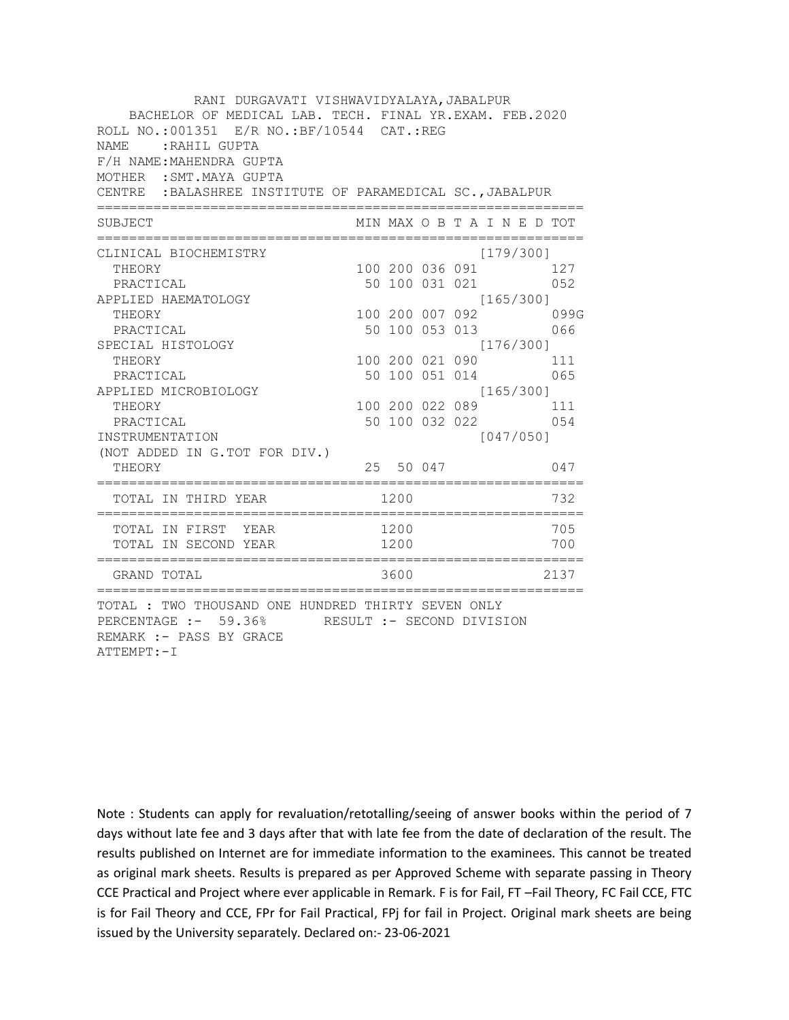| RANI DURGAVATI VISHWAVIDYALAYA, JABALPUR<br>BACHELOR OF MEDICAL LAB. TECH. FINAL YR.EXAM. FEB.2020<br>ROLL NO.: 001351 E/R NO.: BF/10544 CAT.: REG<br>NAME: RAHIL GUPTA<br>F/H NAME: MAHENDRA GUPTA<br>MOTHER : SMT. MAYA GUPTA<br>CENTRE : BALASHREE INSTITUTE OF PARAMEDICAL SC., JABALPUR |      |              |                                                                                                                                                                                                                                                    |           |            |
|----------------------------------------------------------------------------------------------------------------------------------------------------------------------------------------------------------------------------------------------------------------------------------------------|------|--------------|----------------------------------------------------------------------------------------------------------------------------------------------------------------------------------------------------------------------------------------------------|-----------|------------|
| SUBJECT                                                                                                                                                                                                                                                                                      |      |              | MIN MAX O B T A I N E D TOT                                                                                                                                                                                                                        |           |            |
| CLINICAL BIOCHEMISTRY<br>THEORY<br>PRACTICAL<br>APPLIED HAEMATOLOGY<br>THEORY<br>PRACTICAL<br>SPECIAL HISTOLOGY<br>THEORY<br>PRACTICAL<br>APPLIED MICROBIOLOGY<br>THEORY<br>PRACTICAL<br>INSTRUMENTATION<br>(NOT ADDED IN G.TOT FOR DIV.)<br>THEORY                                          |      |              | [179/300]<br>100 200 036 091 127<br>50 100 031 021 052<br>[165/300]<br>100 200 007 092 099G<br>50 100 053 013 066<br>[176/300]<br>100 200 021 090 111<br>50 100 051 014 065<br>[165/300]<br>100 200 022 089 111<br>50 100 032 022 054<br>25 50 047 | [047/050] | 047        |
| TOTAL IN THIRD YEAR                                                                                                                                                                                                                                                                          | 1200 |              |                                                                                                                                                                                                                                                    |           | 732        |
| TOTAL IN FIRST YEAR<br>TOTAL IN SECOND YEAR                                                                                                                                                                                                                                                  |      | 1200<br>1200 |                                                                                                                                                                                                                                                    |           | 705<br>700 |
| GRAND TOTAL                                                                                                                                                                                                                                                                                  |      |              | 3600 000                                                                                                                                                                                                                                           |           | 2137       |
| TOTAL : TWO THOUSAND ONE HUNDRED THIRTY SEVEN ONLY<br>PERCENTAGE :- 59.36% RESULT :- SECOND DIVISION<br>REMARK :- PASS BY GRACE<br>ATTEMPT: - I                                                                                                                                              |      |              |                                                                                                                                                                                                                                                    |           |            |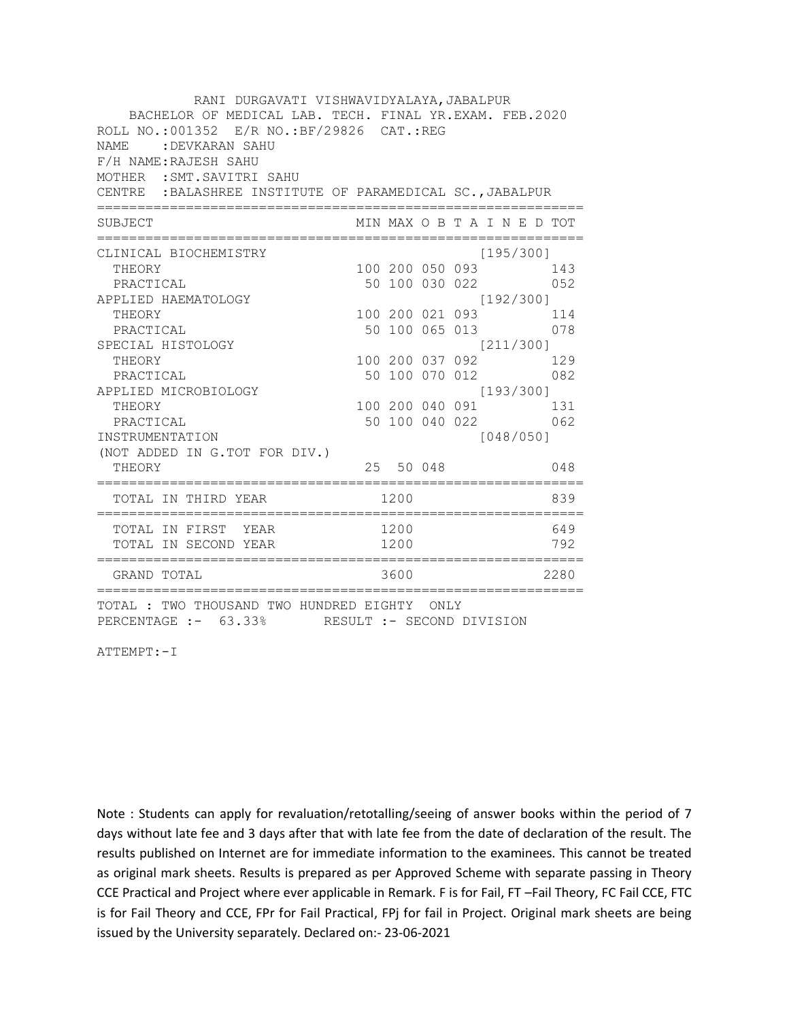| RANI DURGAVATI VISHWAVIDYALAYA, JABALPUR<br>BACHELOR OF MEDICAL LAB. TECH. FINAL YR.EXAM. FEB.2020<br>ROLL NO.:001352 E/R NO.: BF/29826 CAT.: REG<br>NAME.<br>:DEVKARAN SAHU<br>F/H NAME: RAJESH SAHU<br>MOTHER : SMT. SAVITRI SAHU<br>CENTRE : BALASHREE INSTITUTE OF PARAMEDICAL SC., JABALPUR |           |  |                             |      |
|--------------------------------------------------------------------------------------------------------------------------------------------------------------------------------------------------------------------------------------------------------------------------------------------------|-----------|--|-----------------------------|------|
| SUBJECT                                                                                                                                                                                                                                                                                          |           |  | MIN MAX O B T A I N E D TOT |      |
| CLINICAL BIOCHEMISTRY                                                                                                                                                                                                                                                                            |           |  | [195/300]                   |      |
| THEORY                                                                                                                                                                                                                                                                                           |           |  | 100 200 050 093 143         |      |
| PRACTICAL                                                                                                                                                                                                                                                                                        |           |  | 50 100 030 022 052          |      |
| APPLIED HAEMATOLOGY                                                                                                                                                                                                                                                                              |           |  | [192/300]                   |      |
| THEORY                                                                                                                                                                                                                                                                                           |           |  | 100 200 021 093 114         |      |
| PRACTICAL                                                                                                                                                                                                                                                                                        |           |  | 50 100 065 013 078          |      |
| SPECIAL HISTOLOGY                                                                                                                                                                                                                                                                                |           |  | [211/300]                   |      |
| THEORY<br>PRACTICAL                                                                                                                                                                                                                                                                              |           |  | 100 200 037 092 129         |      |
| APPLIED MICROBIOLOGY                                                                                                                                                                                                                                                                             |           |  | [193/300]                   |      |
| THEORY                                                                                                                                                                                                                                                                                           |           |  | 100 200 040 091 131         |      |
| PRACTICAL                                                                                                                                                                                                                                                                                        |           |  | 50 100 040 022 062          |      |
| INSTRUMENTATION                                                                                                                                                                                                                                                                                  |           |  | [048/050]                   |      |
| (NOT ADDED IN G.TOT FOR DIV.)                                                                                                                                                                                                                                                                    |           |  |                             |      |
| THEORY                                                                                                                                                                                                                                                                                           | 25 50 048 |  |                             | 048  |
| TOTAL IN THIRD YEAR 1200                                                                                                                                                                                                                                                                         |           |  | 839                         |      |
|                                                                                                                                                                                                                                                                                                  |           |  |                             | 649  |
| TOTAL IN FIRST YEAR 1200<br>TOTAL IN SECOND YEAR 1200                                                                                                                                                                                                                                            |           |  |                             | 792  |
| GRAND TOTAL                                                                                                                                                                                                                                                                                      | 3600      |  |                             | 2280 |
| TOTAL : TWO THOUSAND TWO HUNDRED EIGHTY ONLY<br>PERCENTAGE :- 63.33% RESULT :- SECOND DIVISION                                                                                                                                                                                                   |           |  |                             |      |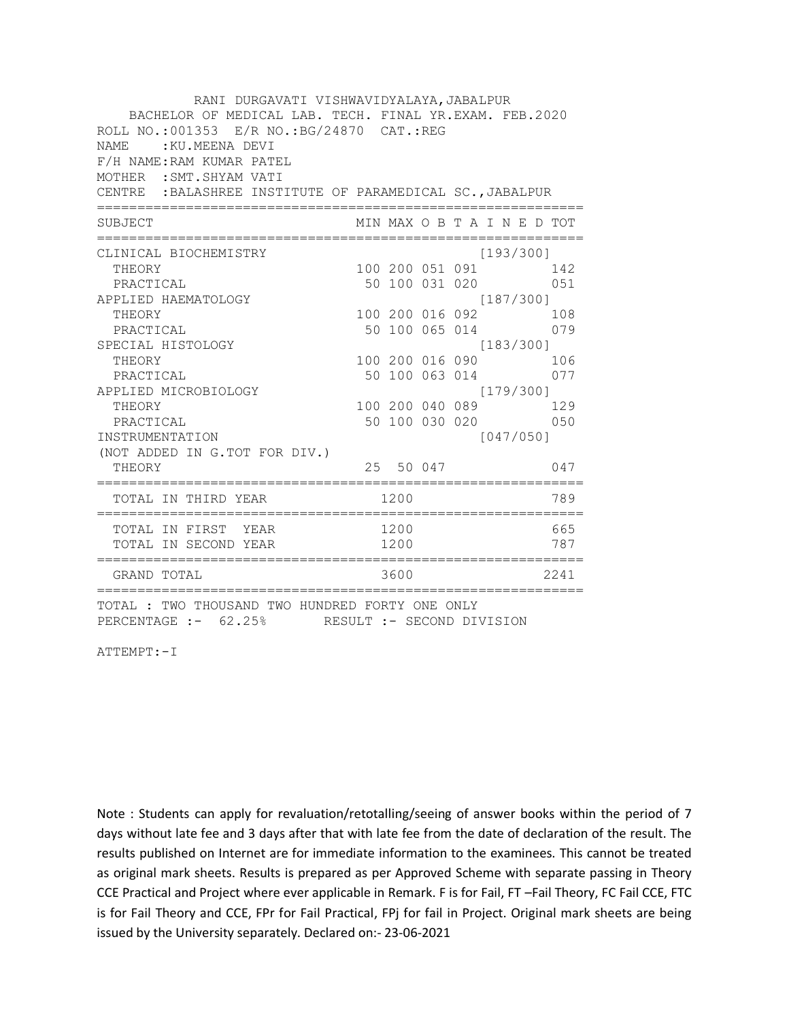| RANI DURGAVATI VISHWAVIDYALAYA, JABALPUR<br>BACHELOR OF MEDICAL LAB. TECH. FINAL YR.EXAM. FEB.2020<br>ROLL NO.:001353 E/R NO.: BG/24870 CAT.: REG<br>NAME.<br>:KU.MEENA DEVI<br>F/H NAME: RAM KUMAR PATEL<br>MOTHER : SMT. SHYAM VATI<br>CENTRE : BALASHREE INSTITUTE OF PARAMEDICAL SC., JABALPUR |      |           |  |           |                                           |  |
|----------------------------------------------------------------------------------------------------------------------------------------------------------------------------------------------------------------------------------------------------------------------------------------------------|------|-----------|--|-----------|-------------------------------------------|--|
| SUBJECT                                                                                                                                                                                                                                                                                            |      |           |  |           | MIN MAX O B T A I N E D TOT               |  |
|                                                                                                                                                                                                                                                                                                    |      |           |  |           |                                           |  |
| CLINICAL BIOCHEMISTRY                                                                                                                                                                                                                                                                              |      |           |  | [193/300] |                                           |  |
| THEORY<br>PRACTICAL                                                                                                                                                                                                                                                                                |      |           |  |           | 100 200 051 091 142<br>50 100 031 020 051 |  |
| APPLIED HAEMATOLOGY                                                                                                                                                                                                                                                                                |      |           |  | [187/300] |                                           |  |
| THEORY                                                                                                                                                                                                                                                                                             |      |           |  |           | 100 200 016 092 108                       |  |
| PRACTICAL                                                                                                                                                                                                                                                                                          |      |           |  |           | 50 100 065 014 079                        |  |
| SPECIAL HISTOLOGY                                                                                                                                                                                                                                                                                  |      |           |  | [183/300] |                                           |  |
| THEORY                                                                                                                                                                                                                                                                                             |      |           |  |           | 100 200 016 090 106                       |  |
| PRACTICAL                                                                                                                                                                                                                                                                                          |      |           |  |           | 50 100 063 014 077                        |  |
| APPLIED MICROBIOLOGY                                                                                                                                                                                                                                                                               |      |           |  | [179/300] |                                           |  |
| THEORY                                                                                                                                                                                                                                                                                             |      |           |  |           | 100 200 040 089 129                       |  |
| PRACTICAL                                                                                                                                                                                                                                                                                          |      |           |  |           | 50 100 030 020 050                        |  |
| INSTRUMENTATION                                                                                                                                                                                                                                                                                    |      |           |  | [047/050] |                                           |  |
| (NOT ADDED IN G.TOT FOR DIV.)                                                                                                                                                                                                                                                                      |      |           |  |           |                                           |  |
| THEORY                                                                                                                                                                                                                                                                                             |      | 25 50 047 |  |           | 047                                       |  |
| TOTAL IN THIRD YEAR                                                                                                                                                                                                                                                                                | 1200 |           |  |           | 789                                       |  |
|                                                                                                                                                                                                                                                                                                    |      |           |  |           | 665                                       |  |
| TOTAL IN FIRST YEAR 1200<br>TOTAL IN SECOND YEAR 1200                                                                                                                                                                                                                                              |      |           |  |           | 787                                       |  |
| GRAND TOTAL                                                                                                                                                                                                                                                                                        |      | 3600      |  |           | 2241                                      |  |
| TOTAL : TWO THOUSAND TWO HUNDRED FORTY ONE ONLY<br>PERCENTAGE :- 62.25% RESULT :- SECOND DIVISION                                                                                                                                                                                                  |      |           |  |           |                                           |  |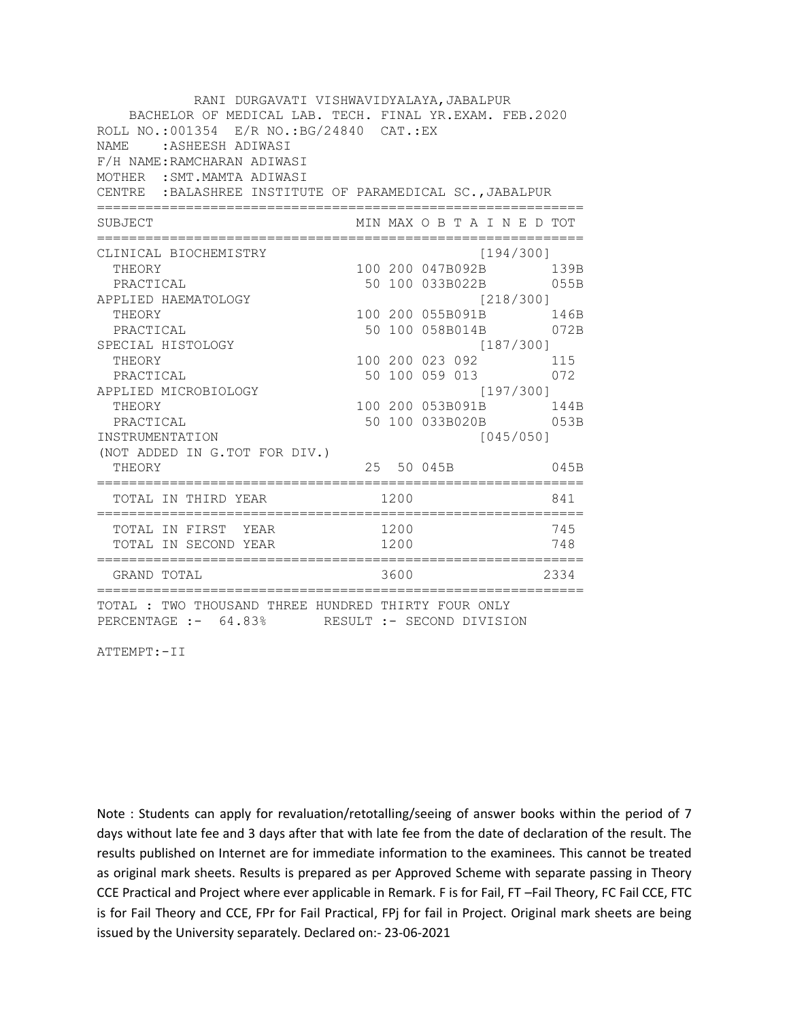| RANI DURGAVATI VISHWAVIDYALAYA, JABALPUR                                                              |                 |                             |           |                                               |
|-------------------------------------------------------------------------------------------------------|-----------------|-----------------------------|-----------|-----------------------------------------------|
| BACHELOR OF MEDICAL LAB. TECH. FINAL YR.EXAM. FEB.2020                                                |                 |                             |           |                                               |
| ROLL NO.: 001354 E/R NO.: BG/24840 CAT.: EX                                                           |                 |                             |           |                                               |
| <b>NAME</b><br>:ASHEESH ADIWASI                                                                       |                 |                             |           |                                               |
| F/H NAME: RAMCHARAN ADIWASI                                                                           |                 |                             |           |                                               |
| MOTHER : SMT. MAMTA ADIWASI                                                                           |                 |                             |           |                                               |
| CENTRE : BALASHREE INSTITUTE OF PARAMEDICAL SC., JABALPUR                                             |                 |                             |           |                                               |
| SUBJECT                                                                                               |                 | MIN MAX O B T A I N E D TOT |           |                                               |
|                                                                                                       |                 | ==========================  |           |                                               |
| CLINICAL BIOCHEMISTRY                                                                                 |                 |                             | [194/300] |                                               |
| THEORY                                                                                                |                 |                             |           | 100 200 047B092B 139B                         |
| PRACTICAL                                                                                             |                 |                             |           | 50 100 033B022B 055B                          |
| APPLIED HAEMATOLOGY                                                                                   |                 | [218/300]                   |           |                                               |
| THEORY                                                                                                |                 |                             |           |                                               |
| PRACTICAL                                                                                             |                 |                             |           | 100 200 055B091B 146B<br>50 100 058B014B 072B |
| SPECIAL HISTOLOGY                                                                                     |                 |                             | [187/300] |                                               |
| THEORY                                                                                                | 100 200 023 092 |                             |           | 115                                           |
| PRACTICAL                                                                                             |                 | 50 100 059 013 072          |           |                                               |
| APPLIED MICROBIOLOGY                                                                                  |                 | [197/300]                   |           |                                               |
| THEORY                                                                                                |                 |                             |           | 100 200 053B091B 144B                         |
| PRACTICAL                                                                                             |                 |                             |           | 50 100 033B020B 053B                          |
| INSTRUMENTATION                                                                                       |                 |                             | [045/050] |                                               |
| (NOT ADDED IN G.TOT FOR DIV.)                                                                         |                 |                             |           |                                               |
| THEORY                                                                                                |                 | 25 50 045B                  |           | 045B                                          |
| TOTAL IN THIRD YEAR                                                                                   | 1200            |                             |           | 841                                           |
| TOTAL IN FIRST YEAR                                                                                   | 1200            |                             |           | 745                                           |
| TOTAL IN SECOND YEAR                                                                                  | 1200            |                             |           | 748                                           |
| GRAND TOTAL                                                                                           | 3600            |                             |           | 2334                                          |
| TOTAL : TWO THOUSAND THREE HUNDRED THIRTY FOUR ONLY<br>PERCENTAGE :- 64.83% RESULT :- SECOND DIVISION |                 |                             |           |                                               |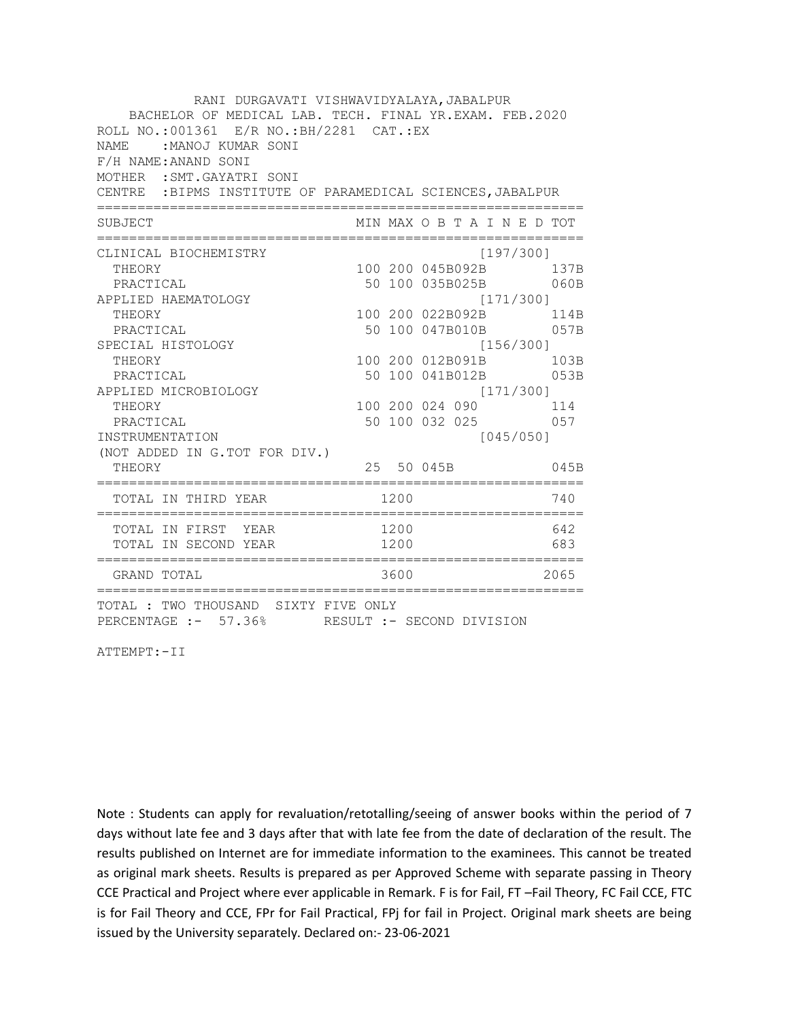| RANI DURGAVATI VISHWAVIDYALAYA, JABALPUR<br>BACHELOR OF MEDICAL LAB. TECH. FINAL YR.EXAM. FEB.2020<br>ROLL NO.: 001361 E/R NO.: BH/2281 CAT.: EX<br>:MANOJ KUMAR SONI<br>NAMF.<br>F/H NAME: ANAND SONI<br>MOTHER : SMT. GAYATRI SONI<br>CENTRE : BIPMS INSTITUTE OF PARAMEDICAL SCIENCES, JABALPUR |                                       |              |                                                                                                                                                                                    |  |           |                                                                  |
|----------------------------------------------------------------------------------------------------------------------------------------------------------------------------------------------------------------------------------------------------------------------------------------------------|---------------------------------------|--------------|------------------------------------------------------------------------------------------------------------------------------------------------------------------------------------|--|-----------|------------------------------------------------------------------|
| SUBJECT                                                                                                                                                                                                                                                                                            | ------------------------------------- |              | MIN MAX O B T A I N E D TOT                                                                                                                                                        |  |           |                                                                  |
| CLINICAL BIOCHEMISTRY<br>THEORY<br>PRACTICAL<br>APPLIED HAEMATOLOGY<br>THEORY<br>PRACTICAL<br>SPECIAL HISTOLOGY<br>THEORY<br>PRACTICAL<br>APPLIED MICROBIOLOGY<br>THEORY<br>PRACTICAL<br>INSTRUMENTATION<br>(NOT ADDED IN G.TOT FOR DIV.)                                                          |                                       |              | 100 200 045B092B<br>50 100 035B025B<br>100 200 022B092B 114B<br>50 100 047B010B 057B<br>100 200 012B091B 103B<br>50 100 041B012B 053B<br>100 200 024 090 114<br>50 100 032 025 057 |  | [197/300] | 137B<br>060B<br>[171/300]<br>[156/300]<br>[171/300]<br>[045/050] |
| THEORY                                                                                                                                                                                                                                                                                             | :================================     |              | 25 50 045B                                                                                                                                                                         |  |           | 045B                                                             |
| TOTAL IN THIRD YEAR                                                                                                                                                                                                                                                                                |                                       | 1200         |                                                                                                                                                                                    |  |           | 740                                                              |
| TOTAL IN FIRST YEAR<br>TOTAL IN SECOND YEAR                                                                                                                                                                                                                                                        |                                       | 1200<br>1200 |                                                                                                                                                                                    |  |           | 642<br>683                                                       |
| GRAND TOTAL                                                                                                                                                                                                                                                                                        |                                       | 3600         |                                                                                                                                                                                    |  |           | 2065                                                             |
| TOTAL : TWO THOUSAND SIXTY FIVE ONLY<br>PERCENTAGE :- 57.36% RESULT :- SECOND DIVISION                                                                                                                                                                                                             |                                       |              |                                                                                                                                                                                    |  |           |                                                                  |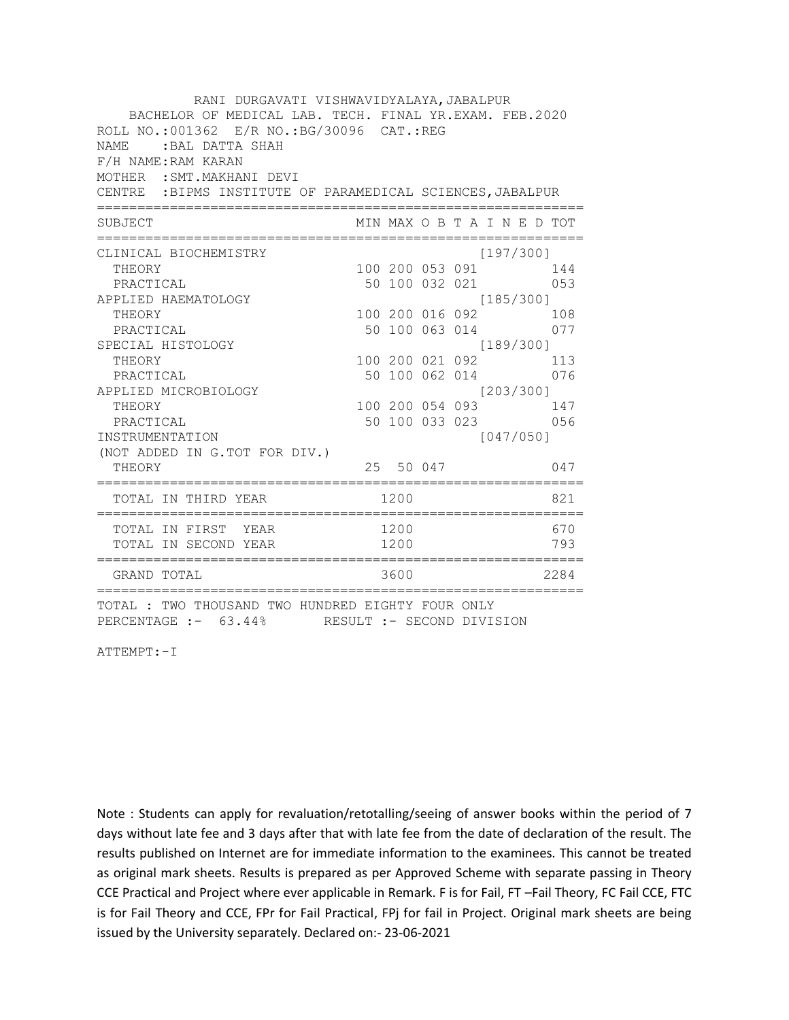| RANI DURGAVATI VISHWAVIDYALAYA, JABALPUR                                                              |                       |                 |  |                             |      |
|-------------------------------------------------------------------------------------------------------|-----------------------|-----------------|--|-----------------------------|------|
| BACHELOR OF MEDICAL LAB. TECH. FINAL YR.EXAM. FEB.2020<br>ROLL NO.:001362 E/R NO.: BG/30096 CAT.: REG |                       |                 |  |                             |      |
| : BAL DATTA SHAH<br>NAME.                                                                             |                       |                 |  |                             |      |
| F/H NAME: RAM KARAN                                                                                   |                       |                 |  |                             |      |
| MOTHER : SMT. MAKHANI DEVI                                                                            |                       |                 |  |                             |      |
| CENTRE : BIPMS INSTITUTE OF PARAMEDICAL SCIENCES, JABALPUR                                            |                       |                 |  |                             |      |
| SUBJECT                                                                                               | --------------------- |                 |  | MIN MAX O B T A I N E D TOT |      |
| CLINICAL BIOCHEMISTRY                                                                                 |                       |                 |  | [197/300]                   |      |
| THEORY                                                                                                |                       |                 |  | 100 200 053 091 144         |      |
| PRACTICAL                                                                                             |                       |                 |  | 50 100 032 021 053          |      |
| APPLIED HAEMATOLOGY                                                                                   |                       |                 |  | [185/300]                   |      |
| THEORY                                                                                                |                       | 100 200 016 092 |  |                             | 108  |
| PRACTICAL                                                                                             |                       |                 |  | 50 100 063 014              | 077  |
| SPECIAL HISTOLOGY                                                                                     |                       |                 |  | [189/300]                   |      |
| THEORY                                                                                                |                       | 100 200 021 092 |  |                             | 113  |
| PRACTICAL                                                                                             |                       |                 |  | 50 100 062 014 076          |      |
| APPLIED MICROBIOLOGY                                                                                  |                       |                 |  | [203/300]                   |      |
| THEORY                                                                                                |                       |                 |  | 100 200 054 093 147         |      |
| PRACTICAL                                                                                             |                       |                 |  | 50 100 033 023 056          |      |
| INSTRUMENTATION                                                                                       |                       |                 |  | [047/050]                   |      |
| (NOT ADDED IN G.TOT FOR DIV.)                                                                         |                       |                 |  |                             |      |
| THEORY                                                                                                |                       | 25 50 047       |  |                             | 047  |
| TOTAL IN THIRD YEAR                                                                                   | 1200                  |                 |  |                             | 821  |
| TOTAL IN FIRST YEAR                                                                                   |                       | 1200            |  |                             | 670  |
| TOTAL IN SECOND YEAR                                                                                  |                       | 1200            |  |                             | 793  |
| GRAND TOTAL                                                                                           |                       | 3600            |  |                             | 2284 |
| TOTAL : TWO THOUSAND TWO HUNDRED EIGHTY FOUR ONLY<br>PERCENTAGE :- 63.44% RESULT :- SECOND DIVISION   |                       |                 |  |                             |      |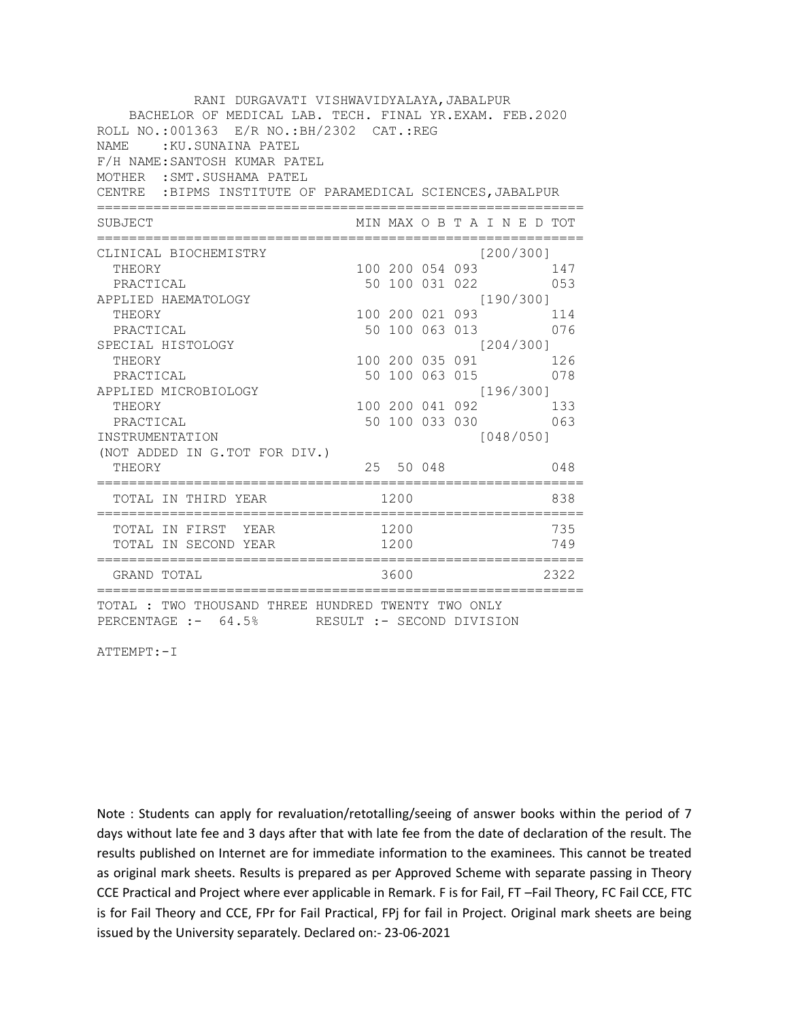| RANI DURGAVATI VISHWAVIDYALAYA, JABALPUR<br>BACHELOR OF MEDICAL LAB. TECH. FINAL YR.EXAM. FEB.2020  |  |                 |  |  |                             |     |      |  |  |  |  |
|-----------------------------------------------------------------------------------------------------|--|-----------------|--|--|-----------------------------|-----|------|--|--|--|--|
| ROLL NO.: 001363 E/R NO.: BH/2302 CAT.: REG                                                         |  |                 |  |  |                             |     |      |  |  |  |  |
| :KU.SUNAINA PATEL<br>NAME                                                                           |  |                 |  |  |                             |     |      |  |  |  |  |
| F/H NAME: SANTOSH KUMAR PATEL                                                                       |  |                 |  |  |                             |     |      |  |  |  |  |
| MOTHER : SMT. SUSHAMA PATEL                                                                         |  |                 |  |  |                             |     |      |  |  |  |  |
| CENTRE :BIPMS INSTITUTE OF PARAMEDICAL SCIENCES, JABALPUR                                           |  |                 |  |  |                             |     |      |  |  |  |  |
| <b>SUBJECT</b>                                                                                      |  |                 |  |  | MIN MAX O B T A I N E D TOT |     |      |  |  |  |  |
| CLINICAL BIOCHEMISTRY                                                                               |  |                 |  |  | [200/300]                   |     |      |  |  |  |  |
| THEORY                                                                                              |  |                 |  |  | 100 200 054 093 147         |     |      |  |  |  |  |
| PRACTICAL                                                                                           |  |                 |  |  | 50 100 031 022 053          |     |      |  |  |  |  |
| APPLIED HAEMATOLOGY                                                                                 |  |                 |  |  | [190/300]                   |     |      |  |  |  |  |
| THEORY                                                                                              |  | 100 200 021 093 |  |  |                             | 114 |      |  |  |  |  |
| PRACTICAL                                                                                           |  |                 |  |  | 50 100 063 013              |     | 076  |  |  |  |  |
| SPECIAL HISTOLOGY                                                                                   |  |                 |  |  | [204/300]                   |     |      |  |  |  |  |
| THEORY                                                                                              |  | 100 200 035 091 |  |  |                             |     | 126  |  |  |  |  |
| PRACTICAL                                                                                           |  | 50 100 063 015  |  |  |                             |     | 078  |  |  |  |  |
| APPLIED MICROBIOLOGY                                                                                |  |                 |  |  | [196/300]                   |     |      |  |  |  |  |
| THEORY                                                                                              |  |                 |  |  | 100 200 041 092 133         |     |      |  |  |  |  |
| PRACTICAL                                                                                           |  |                 |  |  | 50 100 033 030 063          |     |      |  |  |  |  |
| INSTRUMENTATION                                                                                     |  |                 |  |  | [048/050]                   |     |      |  |  |  |  |
| (NOT ADDED IN G.TOT FOR DIV.)                                                                       |  |                 |  |  |                             |     | 048  |  |  |  |  |
| THEORY                                                                                              |  | 25 50 048       |  |  |                             |     |      |  |  |  |  |
| TOTAL IN THIRD YEAR<br>:==============                                                              |  | 1200            |  |  |                             |     | 838  |  |  |  |  |
| TOTAL IN FIRST YEAR                                                                                 |  | 1200            |  |  |                             |     | 735  |  |  |  |  |
| TOTAL IN SECOND YEAR                                                                                |  | 1200            |  |  |                             |     | 749  |  |  |  |  |
| GRAND TOTAL                                                                                         |  | 3600            |  |  |                             |     | 2322 |  |  |  |  |
| TOTAL : TWO THOUSAND THREE HUNDRED TWENTY TWO ONLY<br>PERCENTAGE :- 64.5% RESULT :- SECOND DIVISION |  |                 |  |  |                             |     |      |  |  |  |  |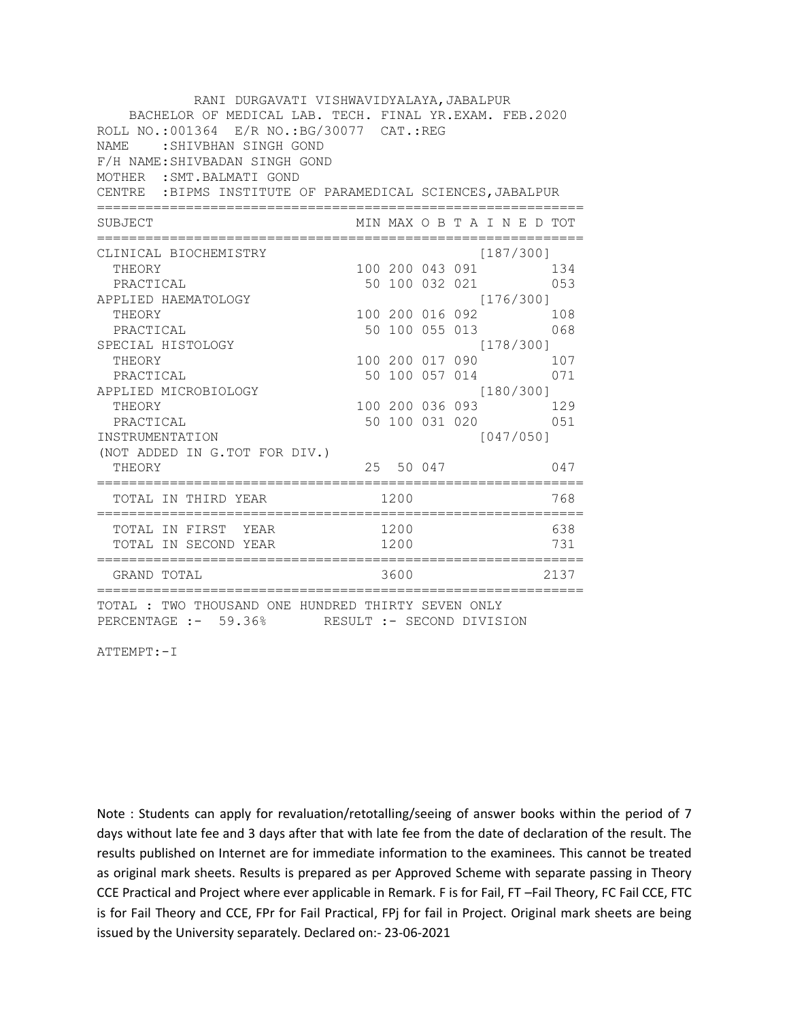| RANI DURGAVATI VISHWAVIDYALAYA, JABALPUR<br>BACHELOR OF MEDICAL LAB. TECH. FINAL YR.EXAM. FEB.2020   |  |                 |  |                  |                |                             |  |  |  |  |  |
|------------------------------------------------------------------------------------------------------|--|-----------------|--|------------------|----------------|-----------------------------|--|--|--|--|--|
| ROLL NO.:001364 E/R NO.: BG/30077 CAT.: REG                                                          |  |                 |  |                  |                |                             |  |  |  |  |  |
| : SHIVBHAN SINGH GOND<br>NAME.                                                                       |  |                 |  |                  |                |                             |  |  |  |  |  |
| F/H NAME: SHIVBADAN SINGH GOND                                                                       |  |                 |  |                  |                |                             |  |  |  |  |  |
| MOTHER : SMT. BALMATI GOND                                                                           |  |                 |  |                  |                |                             |  |  |  |  |  |
| CENTRE : BIPMS INSTITUTE OF PARAMEDICAL SCIENCES, JABALPUR                                           |  |                 |  |                  |                |                             |  |  |  |  |  |
| SUBJECT                                                                                              |  |                 |  | ---------------- |                | MIN MAX O B T A I N E D TOT |  |  |  |  |  |
| CLINICAL BIOCHEMISTRY                                                                                |  |                 |  |                  | [187/300]      |                             |  |  |  |  |  |
| THEORY                                                                                               |  |                 |  |                  |                | 100 200 043 091 134         |  |  |  |  |  |
| PRACTICAL                                                                                            |  |                 |  |                  |                | 50 100 032 021 053          |  |  |  |  |  |
| APPLIED HAEMATOLOGY                                                                                  |  |                 |  |                  | [176/300]      |                             |  |  |  |  |  |
| THEORY                                                                                               |  | 100 200 016 092 |  |                  |                | 108                         |  |  |  |  |  |
| PRACTICAL                                                                                            |  |                 |  |                  | 50 100 055 013 | 068                         |  |  |  |  |  |
| SPECIAL HISTOLOGY                                                                                    |  |                 |  |                  |                | [178/300]                   |  |  |  |  |  |
| THEORY                                                                                               |  | 100 200 017 090 |  |                  |                | 107                         |  |  |  |  |  |
| PRACTICAL                                                                                            |  |                 |  |                  |                | 50 100 057 014 071          |  |  |  |  |  |
| APPLIED MICROBIOLOGY                                                                                 |  |                 |  |                  |                | [180/300]                   |  |  |  |  |  |
| THEORY                                                                                               |  |                 |  |                  |                | 100 200 036 093 129         |  |  |  |  |  |
| PRACTICAL                                                                                            |  |                 |  |                  |                | 50 100 031 020 051          |  |  |  |  |  |
| INSTRUMENTATION                                                                                      |  |                 |  |                  | [047/050]      |                             |  |  |  |  |  |
| (NOT ADDED IN G.TOT FOR DIV.)                                                                        |  |                 |  |                  |                |                             |  |  |  |  |  |
| THEORY                                                                                               |  |                 |  | 25 50 047        |                | 047                         |  |  |  |  |  |
| TOTAL IN THIRD YEAR                                                                                  |  | 1200            |  |                  |                | 768                         |  |  |  |  |  |
| TOTAL IN FIRST YEAR                                                                                  |  | 1200            |  |                  |                | 638                         |  |  |  |  |  |
| TOTAL IN SECOND YEAR                                                                                 |  | 1200            |  |                  |                | 731                         |  |  |  |  |  |
| GRAND TOTAL                                                                                          |  | 3600            |  |                  |                | 2137                        |  |  |  |  |  |
| TOTAL : TWO THOUSAND ONE HUNDRED THIRTY SEVEN ONLY<br>PERCENTAGE :- 59.36% RESULT :- SECOND DIVISION |  |                 |  |                  |                |                             |  |  |  |  |  |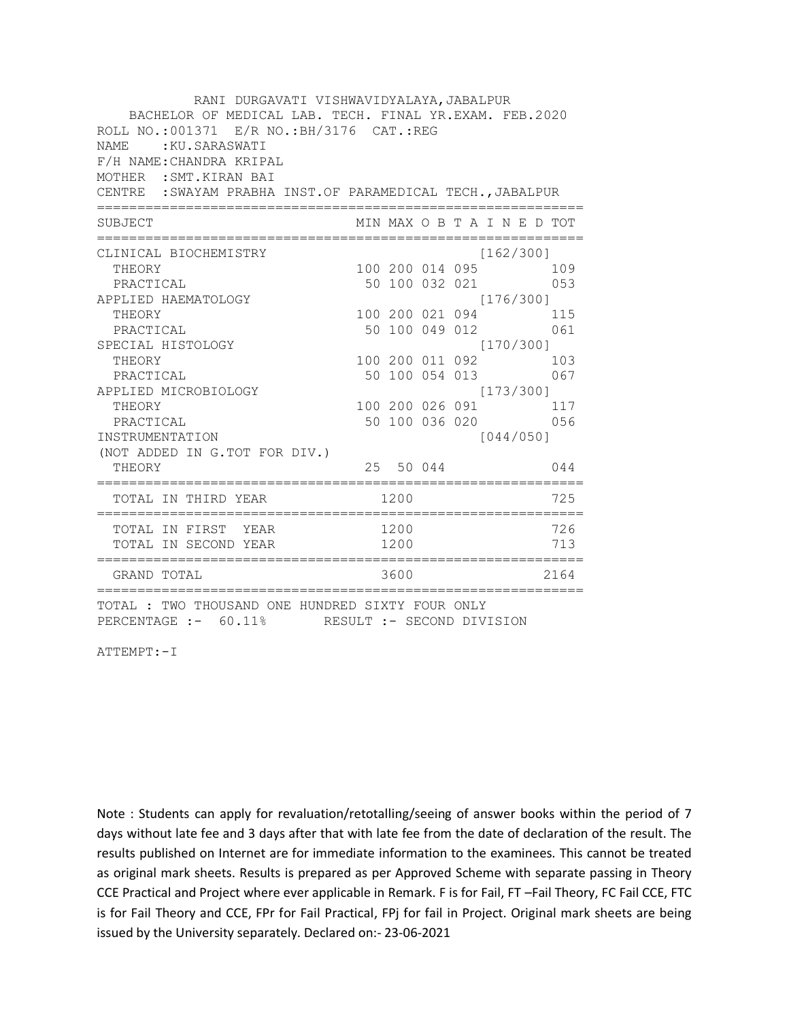| RANI DURGAVATI VISHWAVIDYALAYA, JABALPUR<br>BACHELOR OF MEDICAL LAB. TECH. FINAL YR.EXAM. FEB.2020<br>ROLL NO.:001371 E/R NO.: BH/3176 CAT.: REG<br>NAME.<br>:KU.SARASWATI<br>F/H NAME: CHANDRA KRIPAL<br>MOTHER : SMT. KIRAN BAI<br>CENTRE : SWAYAM PRABHA INST.OF PARAMEDICAL TECH., JABALPUR |                    |           |  |                                  |      |
|-------------------------------------------------------------------------------------------------------------------------------------------------------------------------------------------------------------------------------------------------------------------------------------------------|--------------------|-----------|--|----------------------------------|------|
| SUBJECT                                                                                                                                                                                                                                                                                         |                    |           |  | MIN MAX O B T A I N E D TOT      |      |
| CLINICAL BIOCHEMISTRY                                                                                                                                                                                                                                                                           |                    |           |  | [162/300]                        |      |
| THEORY                                                                                                                                                                                                                                                                                          |                    |           |  | 100 200 014 095 109              |      |
| PRACTICAL                                                                                                                                                                                                                                                                                       |                    |           |  | 50 100 032 021 053               |      |
| APPLIED HAEMATOLOGY                                                                                                                                                                                                                                                                             |                    |           |  | [176/300]                        |      |
| THEORY                                                                                                                                                                                                                                                                                          |                    |           |  | 100 200 021 094 115              |      |
| PRACTICAL                                                                                                                                                                                                                                                                                       |                    |           |  | 50 100 049 012 061               |      |
| SPECIAL HISTOLOGY                                                                                                                                                                                                                                                                               |                    |           |  | [170/300]                        |      |
| THEORY                                                                                                                                                                                                                                                                                          |                    |           |  | 100 200 011 092 103              |      |
| PRACTICAL                                                                                                                                                                                                                                                                                       | 50 100 054 013 067 |           |  |                                  |      |
| APPLIED MICROBIOLOGY<br>THEORY                                                                                                                                                                                                                                                                  |                    |           |  | [173/300]<br>100 200 026 091 117 |      |
| PRACTICAL                                                                                                                                                                                                                                                                                       |                    |           |  | 50 100 036 020 056               |      |
| INSTRUMENTATION                                                                                                                                                                                                                                                                                 |                    |           |  | [044/050]                        |      |
| (NOT ADDED IN G.TOT FOR DIV.)                                                                                                                                                                                                                                                                   |                    |           |  |                                  |      |
| THEORY<br>===============                                                                                                                                                                                                                                                                       |                    | 25 50 044 |  |                                  | 044  |
| TOTAL IN THIRD YEAR                                                                                                                                                                                                                                                                             | 1200               |           |  |                                  | 725  |
|                                                                                                                                                                                                                                                                                                 |                    |           |  |                                  | 726  |
| TOTAL IN FIRST YEAR 1200<br>TOTAL IN SECOND YEAR 1200                                                                                                                                                                                                                                           |                    |           |  |                                  | 713  |
| GRAND TOTAL                                                                                                                                                                                                                                                                                     |                    | 3600      |  |                                  | 2164 |
| TOTAL : TWO THOUSAND ONE HUNDRED SIXTY FOUR ONLY<br>PERCENTAGE :- 60.11% RESULT :- SECOND DIVISION                                                                                                                                                                                              |                    |           |  |                                  |      |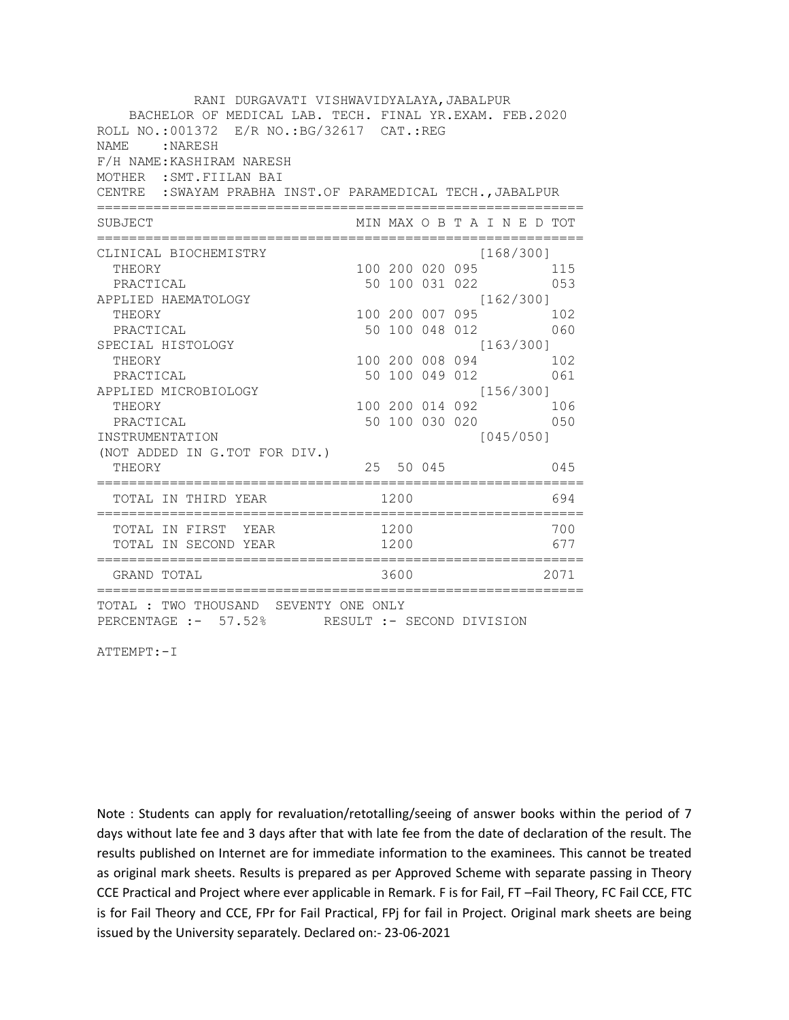| BACHELOR OF MEDICAL LAB. TECH. FINAL YR.EXAM. FEB.2020 |                                             |  |                              |                                                                                                                                                                                                                                                                                                                             |
|--------------------------------------------------------|---------------------------------------------|--|------------------------------|-----------------------------------------------------------------------------------------------------------------------------------------------------------------------------------------------------------------------------------------------------------------------------------------------------------------------------|
|                                                        | ROLL NO.:001372 E/R NO.: BG/32617 CAT.: REG |  |                              |                                                                                                                                                                                                                                                                                                                             |
|                                                        |                                             |  |                              |                                                                                                                                                                                                                                                                                                                             |
|                                                        |                                             |  |                              |                                                                                                                                                                                                                                                                                                                             |
|                                                        |                                             |  |                              |                                                                                                                                                                                                                                                                                                                             |
|                                                        |                                             |  |                              |                                                                                                                                                                                                                                                                                                                             |
|                                                        |                                             |  |                              |                                                                                                                                                                                                                                                                                                                             |
|                                                        |                                             |  |                              |                                                                                                                                                                                                                                                                                                                             |
|                                                        |                                             |  |                              |                                                                                                                                                                                                                                                                                                                             |
|                                                        |                                             |  |                              |                                                                                                                                                                                                                                                                                                                             |
|                                                        |                                             |  |                              |                                                                                                                                                                                                                                                                                                                             |
|                                                        |                                             |  |                              |                                                                                                                                                                                                                                                                                                                             |
|                                                        |                                             |  |                              | 060                                                                                                                                                                                                                                                                                                                         |
|                                                        |                                             |  |                              |                                                                                                                                                                                                                                                                                                                             |
|                                                        |                                             |  |                              |                                                                                                                                                                                                                                                                                                                             |
|                                                        |                                             |  |                              |                                                                                                                                                                                                                                                                                                                             |
|                                                        |                                             |  |                              |                                                                                                                                                                                                                                                                                                                             |
|                                                        |                                             |  |                              |                                                                                                                                                                                                                                                                                                                             |
|                                                        |                                             |  |                              |                                                                                                                                                                                                                                                                                                                             |
|                                                        |                                             |  |                              |                                                                                                                                                                                                                                                                                                                             |
|                                                        |                                             |  |                              | 045                                                                                                                                                                                                                                                                                                                         |
|                                                        |                                             |  |                              | 694                                                                                                                                                                                                                                                                                                                         |
|                                                        |                                             |  |                              | 700                                                                                                                                                                                                                                                                                                                         |
|                                                        |                                             |  |                              | 677                                                                                                                                                                                                                                                                                                                         |
|                                                        |                                             |  |                              | 2071                                                                                                                                                                                                                                                                                                                        |
|                                                        | 1200<br>1200<br>1200<br>3600                |  | 100 200 008 094<br>25 50 045 | CENTRE : SWAYAM PRABHA INST. OF PARAMEDICAL TECH., JABALPUR<br>MIN MAX O B T A I N E D TOT<br>[168/300]<br>100 200 020 095 115<br>50 100 031 022 053<br>[162/300]<br>100 200 007 095 102<br>50 100 048 012<br>[163/300]<br>102<br>50 100 049 012 061<br>[156/300]<br>100 200 014 092 106<br>50 100 030 020 050<br>[045/050] |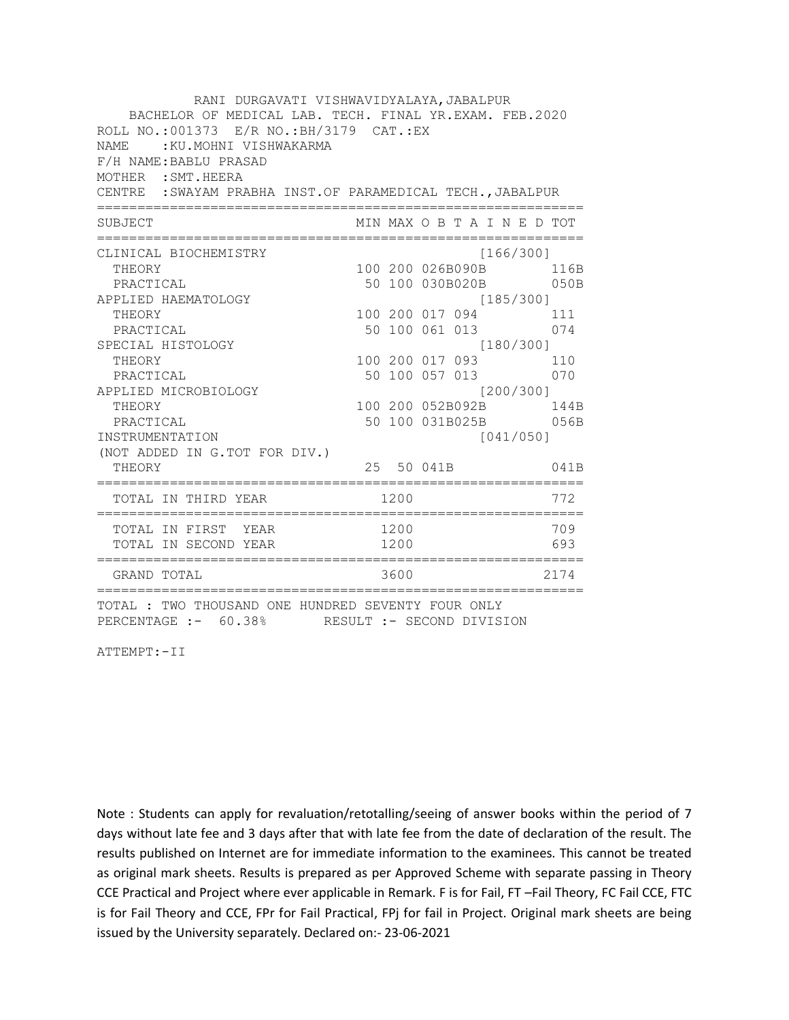| RANI DURGAVATI VISHWAVIDYALAYA, JABALPUR<br>BACHELOR OF MEDICAL LAB. TECH. FINAL YR.EXAM. FEB.2020<br>ROLL NO.: 001373 E/R NO.: BH/3179 CAT.: EX<br>NAME: : KU. MOHNI VISHWAKARMA<br>F/H NAME: BABLU PRASAD<br>MOTHER : SMT. HEERA<br>CENTRE : SWAYAM PRABHA INST.OF PARAMEDICAL TECH., JABALPUR |                                                                                                                                         |           |                                                  |  |                                                                              |
|--------------------------------------------------------------------------------------------------------------------------------------------------------------------------------------------------------------------------------------------------------------------------------------------------|-----------------------------------------------------------------------------------------------------------------------------------------|-----------|--------------------------------------------------|--|------------------------------------------------------------------------------|
| SUBJECT                                                                                                                                                                                                                                                                                          | MIN MAX O B T A I N E D TOT                                                                                                             |           |                                                  |  |                                                                              |
| CLINICAL BIOCHEMISTRY<br>THEORY<br>PRACTICAL<br>APPLIED HAEMATOLOGY<br>THEORY<br>PRACTICAL<br>SPECIAL HISTOLOGY<br>THEORY<br>PRACTICAL<br>APPLIED MICROBIOLOGY<br>THEORY<br>PRACTICAL<br>INSTRUMENTATION<br>(NOT ADDED IN G.TOT FOR DIV.)<br>THEORY                                              | 100 200 026B090B<br>50 100 030B020B<br>100 200 017 094<br>50 100 061 013 074<br>100 200 017 093 110<br>50 100 057 013 070<br>25 50 041B | [180/300] | [166/300]<br>[185/300]<br>[200/300]<br>[041/050] |  | 116B<br>050B<br>111<br>100 200 052B092B 144B<br>50 100 031B025B 056B<br>041B |
| TOTAL IN THIRD YEAR                                                                                                                                                                                                                                                                              | :=======<br>1200                                                                                                                        |           |                                                  |  | 772                                                                          |
| TOTAL IN FIRST YEAR<br>TOTAL IN SECOND YEAR                                                                                                                                                                                                                                                      | 1200<br>1200                                                                                                                            |           |                                                  |  | 709<br>693                                                                   |
| GRAND TOTAL                                                                                                                                                                                                                                                                                      | 3600                                                                                                                                    |           |                                                  |  | 2174                                                                         |
| TOTAL : TWO THOUSAND ONE HUNDRED SEVENTY FOUR ONLY<br>PERCENTAGE :- 60.38% RESULT :- SECOND DIVISION                                                                                                                                                                                             |                                                                                                                                         |           |                                                  |  |                                                                              |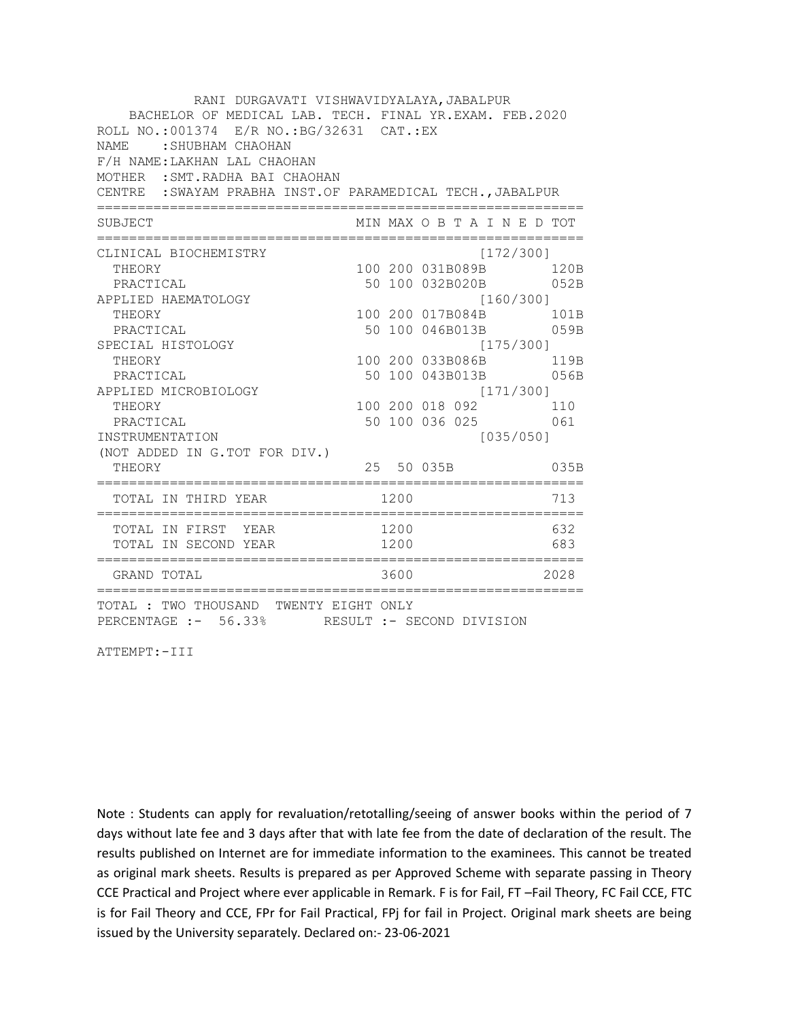| RANI DURGAVATI VISHWAVIDYALAYA, JABALPUR<br>BACHELOR OF MEDICAL LAB. TECH. FINAL YR.EXAM. FEB.2020<br>ROLL NO.: 001374 E/R NO.: BG/32631 CAT.: EX<br>: SHUBHAM CHAOHAN<br>NAMF.<br>F/H NAME: LAKHAN LAL CHAOHAN<br>MOTHER : SMT. RADHA BAI CHAOHAN<br>CENTRE : SWAYAM PRABHA INST. OF PARAMEDICAL TECH., JABALPUR |      |                                           |           |  |           |
|-------------------------------------------------------------------------------------------------------------------------------------------------------------------------------------------------------------------------------------------------------------------------------------------------------------------|------|-------------------------------------------|-----------|--|-----------|
| SUBJECT                                                                                                                                                                                                                                                                                                           |      | MIN MAX O B T A I N E D TOT               |           |  |           |
| CLINICAL BIOCHEMISTRY                                                                                                                                                                                                                                                                                             |      |                                           | [172/300] |  |           |
| THEORY                                                                                                                                                                                                                                                                                                            |      | 100 200 031B089B 120B                     |           |  |           |
| PRACTICAL                                                                                                                                                                                                                                                                                                         |      | 50 100 032B020B 052B                      |           |  |           |
| APPLIED HAEMATOLOGY                                                                                                                                                                                                                                                                                               |      | [160/300]                                 |           |  |           |
| THEORY                                                                                                                                                                                                                                                                                                            |      | 100 200 017B084B 101B                     |           |  |           |
| PRACTICAL                                                                                                                                                                                                                                                                                                         |      | 50 100 046B013B                           |           |  | 059B      |
| SPECIAL HISTOLOGY                                                                                                                                                                                                                                                                                                 |      |                                           |           |  | [175/300] |
| THEORY                                                                                                                                                                                                                                                                                                            |      | 100 200 033B086B 119B                     |           |  |           |
| PRACTICAL                                                                                                                                                                                                                                                                                                         |      | 50 100 043B013B 056B                      |           |  |           |
| APPLIED MICROBIOLOGY                                                                                                                                                                                                                                                                                              |      | [171/300]                                 |           |  |           |
| THEORY                                                                                                                                                                                                                                                                                                            |      |                                           |           |  |           |
| PRACTICAL                                                                                                                                                                                                                                                                                                         |      | 100 200 018 092 110<br>50 100 036 025 061 |           |  |           |
| INSTRUMENTATION                                                                                                                                                                                                                                                                                                   |      |                                           | [035/050] |  |           |
| (NOT ADDED IN G.TOT FOR DIV.)                                                                                                                                                                                                                                                                                     |      |                                           |           |  |           |
| THEORY                                                                                                                                                                                                                                                                                                            |      | 25 50 035B                                |           |  | 035B      |
| TOTAL IN THIRD YEAR                                                                                                                                                                                                                                                                                               | 1200 |                                           |           |  | 713       |
| TOTAL IN FIRST YEAR                                                                                                                                                                                                                                                                                               | 1200 |                                           |           |  | 632       |
| TOTAL IN SECOND YEAR                                                                                                                                                                                                                                                                                              | 1200 |                                           |           |  | 683       |
| GRAND TOTAL                                                                                                                                                                                                                                                                                                       | 3600 |                                           |           |  | 2028      |
| TOTAL : TWO THOUSAND TWENTY EIGHT ONLY<br>PERCENTAGE :- 56.33% RESULT :- SECOND DIVISION                                                                                                                                                                                                                          |      |                                           |           |  |           |